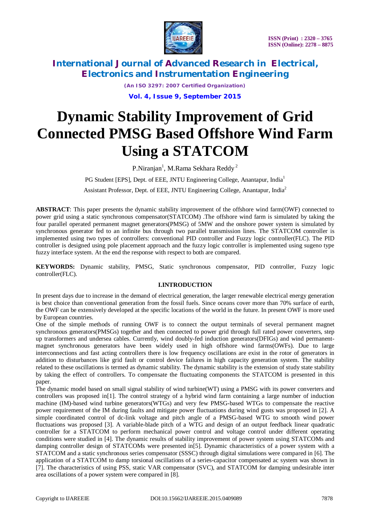

> *(An ISO 3297: 2007 Certified Organization)* **Vol. 4, Issue 9, September 2015**

# **Dynamic Stability Improvement of Grid Connected PMSG Based Offshore Wind Farm Using a STATCOM**

P.Niranjan<sup>1</sup>, M.Rama Sekhara Reddy<sup>2</sup>

PG Student [EPS], Dept. of EEE, JNTU Engineering College, Anantapur, India<sup>1</sup>

Assistant Professor, Dept. of EEE, JNTU Engineering College, Anantapur, India<sup>2</sup>

**ABSTRACT**: This paper presents the dynamic stability improvement of the offshore wind farm(OWF) connected to power grid using a static synchronous compensator(STATCOM) .The offshore wind farm is simulated by taking the four parallel operated permanent magnet generators(PMSG) of 5MW and the onshore power system is simulated by synchronous generator fed to an infinite bus through two parallel transmission lines. The STATCOM controller is implemented using two types of controllers: conventional PID controller and Fuzzy logic controller(FLC). The PID controller is designed using pole placement approach and the fuzzy logic controller is implemented using sugeno type fuzzy interface system. At the end the response with respect to both are compared.

**KEYWORDS:** Dynamic stability, PMSG, Static synchronous compensator, PID controller, Fuzzy logic controller(FLC).

#### **I.INTRODUCTION**

In present days due to increase in the demand of electrical generation, the larger renewable electrical energy generation is best choice than conventional generation from the fossil fuels. Since oceans cover more than 70% surface of earth, the OWF can be extensively developed at the specific locations of the world in the future. In present OWF is more used by European countries.

One of the simple methods of running OWF is to connect the output terminals of several permanent magnet synchronous generators(PMSGs) together and then connected to power grid through full rated power converters, step up transformers and undersea cables. Currently, wind doubly-fed induction generators(DFIGs) and wind permanentmagnet synchronous generators have been widely used in high offshore wind farms(OWFs). Due to large interconnections and fast acting controllers there is low frequency oscillations are exist in the rotor of generators in addition to disturbances like grid fault or control device failures in high capacity generation system. The stability related to these oscillations is termed as dynamic stability. The dynamic stability is the extension of study state stability by taking the effect of controllers. To compensate the fluctuating components the STATCOM is presented in this paper.

The dynamic model based on small signal stability of wind turbine(WT) using a PMSG with its power converters and controllers was proposed in[1]. The control strategy of a hybrid wind farm containing a large number of induction machine (IM)-based wind turbine generators(WTGs) and very few PMSG-based WTGs to compensate the reactive power requirement of the IM during faults and mitigate power fluctuations during wind gusts was proposed in [2]. A simple coordinated control of dc-link voltage and pitch angle of a PMSG-based WTG to smooth wind power fluctuations was proposed [3]. A variable-blade pitch of a WTG and design of an output feedback linear quadratic controller for a STATCOM to perform mechanical power control and voltage control under different operating conditions were studied in [4]. The dynamic results of stability improvement of power system using STATCOMs and damping controller design of STATCOMs were presented in[5]. Dynamic characteristics of a power system with a STATCOM and a static synchronous series compensator (SSSC) through digital simulations were compared in [6]. The application of a STATCOM to damp torsional oscillations of a series-capacitor compensated ac system was shown in [7]. The characteristics of using PSS, static VAR compensator (SVC), and STATCOM for damping undesirable inter area oscillations of a power system were compared in [8].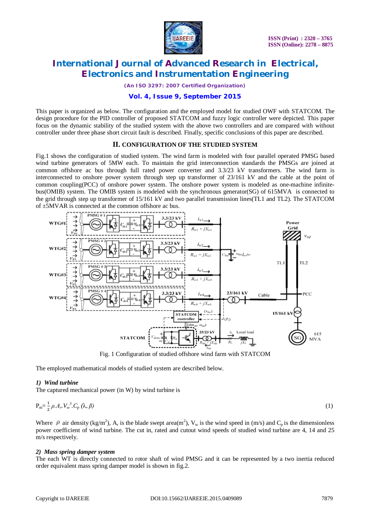

*(An ISO 3297: 2007 Certified Organization)*

#### **Vol. 4, Issue 9, September 2015**

This paper is organized as below. The configuration and the employed model for studied OWF with STATCOM. The design procedure for the PID controller of proposed STATCOM and fuzzy logic controller were depicted. This paper focus on the dynamic stability of the studied system with the above two controllers and are compared with without controller under three phase short circuit fault is described. Finally, specific conclusions of this paper are described.

#### **II. CONFIGURATION OF THE STUDIED SYSTEM**

Fig.1 shows the configuration of studied system. The wind farm is modeled with four parallel operated PMSG based wind turbine generators of 5MW each. To maintain the grid interconnection standards the PMSGs are joined at common offshore ac bus through full rated power converter and 3.3/23 kV transformers. The wind farm is interconnected to onshore power system through step up transformer of 23/161 kV and the cable at the point of common coupling(PCC) of onshore power system. The onshore power system is modeled as one-machine infinitebus(OMIB) system. The OMIB system is modeled with the synchronous generator(SG) of 615MVA is connected to the grid through step up transformer of 15/161 kV and two parallel transmission lines(TL1 and TL2). The STATCOM of ±5MVAR is connected at the common offshore ac bus.



Fig. 1 Configuration of studied offshore wind farm with STATCOM

The employed mathematical models of studied system are described below.

#### *1) Wind turbine*

The captured mechanical power (in W) by wind turbine is

$$
P_m = \frac{1}{2} \rho A_r V_w^3 C_p (\lambda, \beta) \tag{1}
$$

Where  $\rho$  air density (kg/m<sup>2</sup>), A<sub>r</sub> is the blade swept area(m<sup>2</sup>), V<sub>w</sub> is the wind speed in (m/s) and C<sub>p</sub> is the dimensionless power coefficient of wind turbine. The cut in, rated and cutout wind speeds of studied wind turbine are 4, 14 and 25 m/s respectively.

#### *2) Mass spring damper system*

The each WT is directly connected to rotor shaft of wind PMSG and it can be represented by a two inertia reduced order equivalent mass spring damper model is shown in fig.2.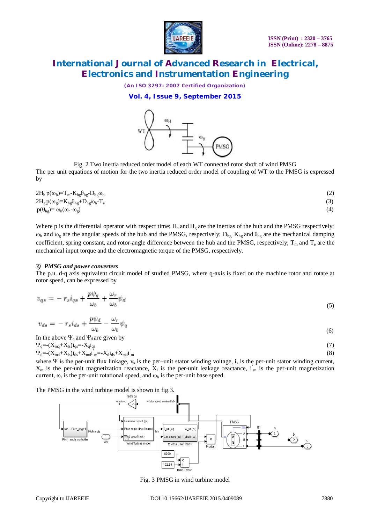

*(An ISO 3297: 2007 Certified Organization)*

#### **Vol. 4, Issue 9, September 2015**



Fig. 2 Two inertia reduced order model of each WT connected rotor shoft of wind PMSG The per unit equations of motion for the two inertia reduced order model of coupling of WT to the PMSG is expressed by

| $2H_h p(\omega_h) = T_m - K_{hg} \theta_{hg} - D_{hg} \omega_h$ | (2) |
|-----------------------------------------------------------------|-----|
| $2H_g p(\omega_g) = K_{hg} \theta_{hg} + D_{hg} \omega_h - T_e$ |     |
| $p(\theta_{hg}) = \omega_h(\omega_h - \omega_g)$                | (4) |

Where p is the differential operator with respect time;  $H_h$  and  $H_g$  are the inertias of the hub and the PMSG respectively;  $\omega_h$  and  $\omega_g$  are the angular speeds of the hub and the PMSG, respectively;  $D_{hg}$ ,  $K_{hg}$  and  $\theta_{hg}$  are the mechanical damping coefficient, spring constant, and rotor-angle difference between the hub and the PMSG, respectively;  $T_m$  and  $T_e$  are the mechanical input torque and the electromagnetic torque of the PMSG, respectively.

#### *3) PMSG and power converters*

The p.u. d-q axis equivalent circuit model of studied PMSG, where q-axis is fixed on the machine rotor and rotate at rotor speed, can be expressed by

$$
v_{qs} = -r_s i_{qs} + \frac{pv_q}{\omega_b} + \frac{\omega_r}{\omega_b} \psi_d \tag{5}
$$

$$
v_{ds} = -r_s i_{ds} + \frac{p\psi_d}{\omega_b} - \frac{\omega_r}{\omega_b} \psi_q \tag{6}
$$

In the above 
$$
\Psi_q
$$
 and  $\Psi_d$  are given by  
\n $\Psi_q = (X_{mq} + X_{ls})i_{qs} = -X_q i_{qs}$  (7)

$$
\Psi_{d} = (X_{md} + X_{ls})i_{ds} + X_{md}i_{m} = -X_{d}i_{ds} + X_{md}i_{m}
$$
\n(8)

where  $\Psi$  is the per-unit flux linkage,  $v_s$  is the per-unit stator winding voltage, i<sub>s</sub> is the per-unit stator winding current,  $X_m$  is the per-unit magnetization reactance,  $X_1$  is the per-unit leakage reactance,  $i_m$  is the per-unit magnetization current,  $\omega_r$  is the per-unit rotational speed, and  $\omega_b$  is the per-unit base speed.

The PMSG in the wind turbine model is shown in fig.3.



Fig. 3 PMSG in wind turbine model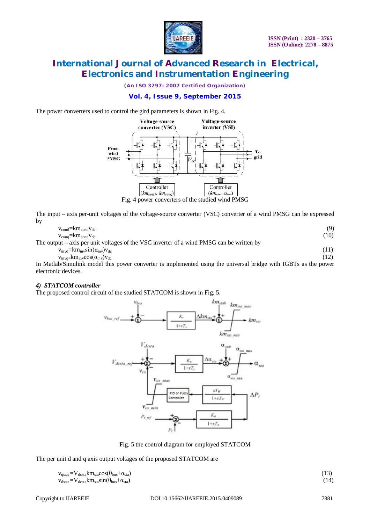

*(An ISO 3297: 2007 Certified Organization)*

### **Vol. 4, Issue 9, September 2015**

The power converters used to control the gird parameters is shown in Fig. 4.



The input – axis per-unit voltages of the voltage-source converter (VSC) converter of a wind PMSG can be expressed by

| $V_{cond} = km_{cond}V_{dc}$                                                             |  | (9)  |
|------------------------------------------------------------------------------------------|--|------|
| $v_{\rm conq} = km_{\rm conq} v_{\rm dc}$                                                |  | (10) |
| The output – axis per unit voltages of the VSC inverter of a wind PMSG can be written by |  |      |
| $v_{\text{invd}} = km_{\text{inv}} sin(\alpha_{\text{inv}}) v_{\text{dc}}$               |  |      |
| $v_{invq}$ = $km_{inv}cos(\alpha_{inv})v_{dc}$                                           |  | (12) |
|                                                                                          |  |      |

In Matlab/Simulink model this power converter is implemented using the universal bridge with IGBTs as the power electronic devices.

#### *4) STATCOM controller*

The proposed control circuit of the studied STATCOM is shown in Fig. 5.



Fig. 5 the control diagram for employed STATCOM

The per unit d and q axis output voltages of the proposed STATCOM are

$$
v_{\text{qstat}} = V_{\text{dcsta}} km_{\text{sta}} cos(\theta_{\text{bus}} + \alpha_{\text{sta}})
$$
\n
$$
v_{\text{dstat}} = V_{\text{dcsta}} km_{\text{sta}} sin(\theta_{\text{bus}} + \alpha_{\text{sta}})
$$
\n(14)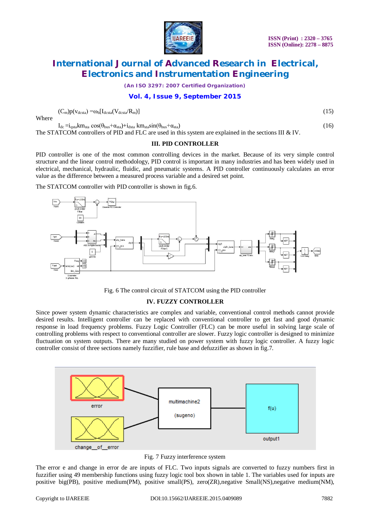

*(An ISO 3297: 2007 Certified Organization)*

#### **Vol. 4, Issue 9, September 2015**

| (15)<br>$(C_m)p(v_{\text{desta}}) = \omega_b[I_{\text{desta}}(V_{\text{desta}}/R_m)]$ |
|---------------------------------------------------------------------------------------|
|---------------------------------------------------------------------------------------|

Where

 $I_{dc} = i_{astak} K m_{sta} \cos(\theta_{bus} + \alpha_{sta}) + i_{dsta} \, km_{sta} \sin(\theta_{bus} + \alpha_{sta})$  (16) The STATCOM controllers of PID and FLC are used in this system are explained in the sections III & IV.

#### **III. PID CONTROLLER**

PID controller is one of the most common controlling devices in the market. Because of its very simple control structure and the linear control methodology, PID control is important in many industries and has been widely used in electrical, mechanical, hydraulic, fluidic, and pneumatic systems. A PID controller continuously calculates an error value as the difference between a measured process variable and a desired set point.

The STATCOM controller with PID controller is shown in fig.6.



Fig. 6 The control circuit of STATCOM using the PID controller

#### **IV. FUZZY CONTROLLER**

Since power system dynamic characteristics are complex and variable, conventional control methods cannot provide desired results. Intelligent controller can be replaced with conventional controller to get fast and good dynamic response in load frequency problems. Fuzzy Logic Controller (FLC) can be more useful in solving large scale of controlling problems with respect to conventional controller are slower. Fuzzy logic controller is designed to minimize fluctuation on system outputs. There are many studied on power system with fuzzy logic controller. A fuzzy logic controller consist of three sections namely fuzzifier, rule base and defuzzifier as shown in fig.7.



Fig. 7 Fuzzy interference system

The error e and change in error de are inputs of FLC. Two inputs signals are converted to fuzzy numbers first in fuzzifier using 49 membership functions using fuzzy logic tool box shown in table 1. The variables used for inputs are positive big(PB), positive medium(PM), positive small(PS), zero(ZR),negative Small(NS),negative medium(NM),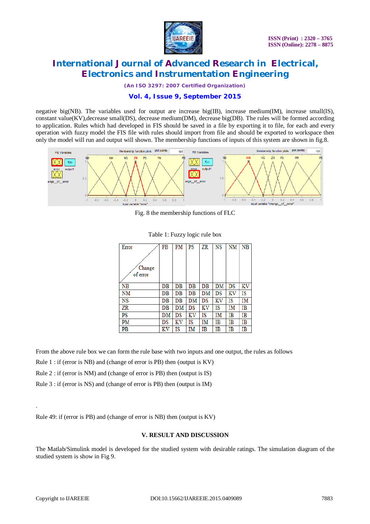

*(An ISO 3297: 2007 Certified Organization)*

### **Vol. 4, Issue 9, September 2015**

negative big(NB). The variables used for output are increase big(IB), increase medium(IM), increase small(IS), constant value(KV),decrease small(DS), decrease medium(DM), decrease big(DB). The rules will be formed according to application. Rules which had developed in FIS should be saved in a file by exporting it to file, for each and every operation with fuzzy model the FIS file with rules should import from file and should be exported to workspace then only the model will run and output will shown. The membership functions of inputs of this system are shown in fig.8.



Fig. 8 the membership functions of FLC

| Error    | PB | PM | PS   | ZR | NS | NM | NB |
|----------|----|----|------|----|----|----|----|
|          |    |    |      |    |    |    |    |
| Change   |    |    |      |    |    |    |    |
| of error |    |    |      |    |    |    |    |
| NB       | DB | DB | $DB$ | DB | DM | DS | ΚV |
| NM       | DB | DB | DB   | DM | DS | ΚV | IS |
| NS       | DB | DB | DM   | DS | ΚV | IS | IM |
| ZR       | DB | DM | DS   | KV | IS | IM | ΙB |
| PS       | DМ | DS | ΚV   | IS | ΙM | IB | ΙB |
| PM       | DS | ΚV | IS   | IΜ | IB | IB | IΒ |
| PB       | ΚV | IS | IM   | IB | IB | IB | IB |

#### Table 1: Fuzzy logic rule box

From the above rule box we can form the rule base with two inputs and one output, the rules as follows

Rule 1 : if (error is NB) and (change of error is PB) then (output is KV)

Rule 2 : if (error is NM) and (change of error is PB) then (output is IS)

Rule 3 : if (error is NS) and (change of error is PB) then (output is IM)

Rule 49: if (error is PB) and (change of error is NB) then (output is KV)

#### **V. RESULT AND DISCUSSION**

The Matlab/Simulink model is developed for the studied system with desirable ratings. The simulation diagram of the studied system is show in Fig 9.

.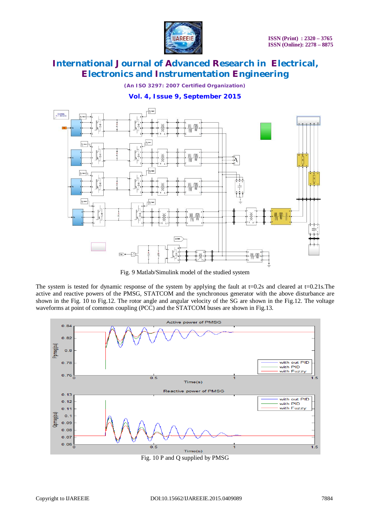

*(An ISO 3297: 2007 Certified Organization)* **Vol. 4, Issue 9, September 2015**



Fig. 9 Matlab/Simulink model of the studied system

The system is tested for dynamic response of the system by applying the fault at t=0.2s and cleared at t=0.21s.The active and reactive powers of the PMSG, STATCOM and the synchronous generator with the above disturbance are shown in the Fig. 10 to Fig.12. The rotor angle and angular velocity of the SG are shown in the Fig.12. The voltage waveforms at point of common coupling (PCC) and the STATCOM buses are shown in Fig.13.



Fig. 10 P and Q supplied by PMSG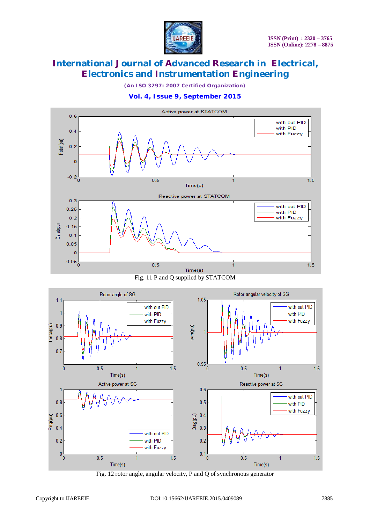

*(An ISO 3297: 2007 Certified Organization)*







 $0.2$ 

Fig. 12 rotor angle, angular velocity, P and Q of synchronous generator

with PID

 $0.2$ 

 $\begin{matrix} 0 \\ 0 \\ 0 \end{matrix}$ 

 $1.5$